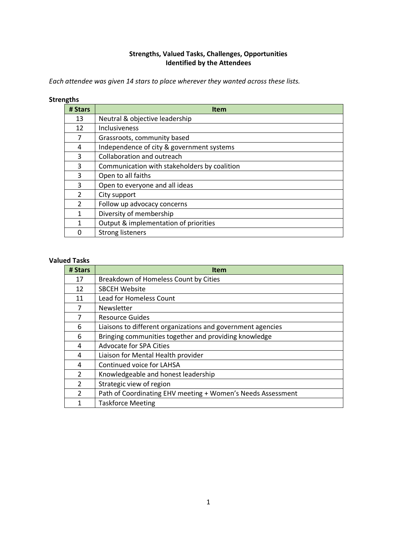## **Strengths, Valued Tasks, Challenges, Opportunities Identified by the Attendees**

*Each attendee was given 14 stars to place wherever they wanted across these lists.*

#### **Strengths**

| # Stars       | <b>Item</b>                                  |
|---------------|----------------------------------------------|
| 13            | Neutral & objective leadership               |
| 12            | Inclusiveness                                |
| 7             | Grassroots, community based                  |
| 4             | Independence of city & government systems    |
| 3             | Collaboration and outreach                   |
| 3             | Communication with stakeholders by coalition |
| 3             | Open to all faiths                           |
| 3             | Open to everyone and all ideas               |
| $\mathcal{P}$ | City support                                 |
| $\mathcal{P}$ | Follow up advocacy concerns                  |
| 1             | Diversity of membership                      |
| 1             | Output & implementation of priorities        |
| 0             | <b>Strong listeners</b>                      |

### **Valued Tasks**

| # Stars                  | <b>Item</b>                                                 |
|--------------------------|-------------------------------------------------------------|
| 17                       | Breakdown of Homeless Count by Cities                       |
| 12                       | <b>SBCEH Website</b>                                        |
| 11                       | <b>Lead for Homeless Count</b>                              |
| 7                        | Newsletter                                                  |
| 7                        | Resource Guides                                             |
| 6                        | Liaisons to different organizations and government agencies |
| 6                        | Bringing communities together and providing knowledge       |
| 4                        | Advocate for SPA Cities                                     |
| 4                        | Liaison for Mental Health provider                          |
| 4                        | Continued voice for LAHSA                                   |
| 2                        | Knowledgeable and honest leadership                         |
| $\overline{\mathcal{L}}$ | Strategic view of region                                    |
| $\overline{\mathcal{L}}$ | Path of Coordinating EHV meeting + Women's Needs Assessment |
| 1                        | <b>Taskforce Meeting</b>                                    |